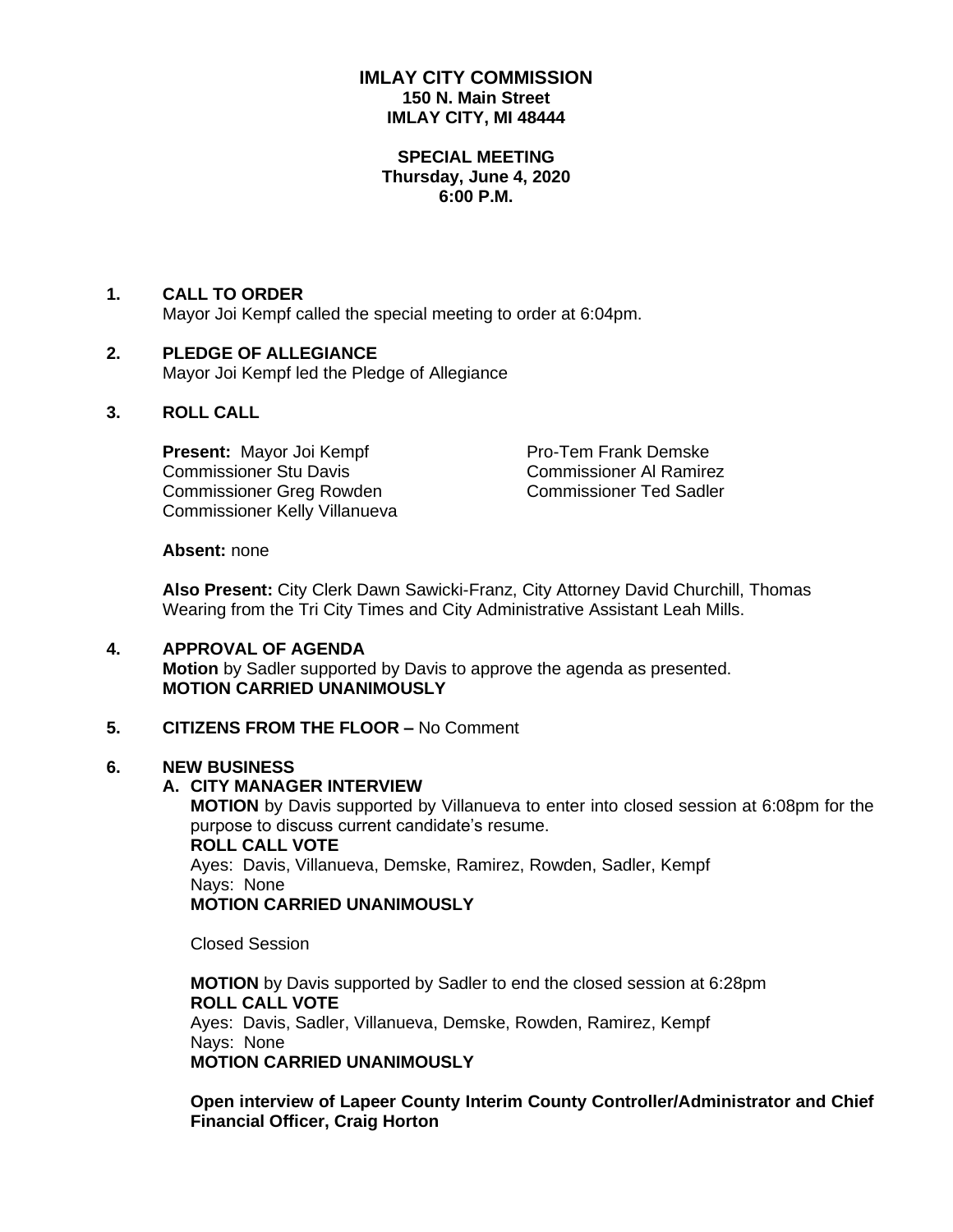# **IMLAY CITY COMMISSION 150 N. Main Street IMLAY CITY, MI 48444**

#### **SPECIAL MEETING Thursday, June 4, 2020 6:00 P.M.**

# **1. CALL TO ORDER**

Mayor Joi Kempf called the special meeting to order at 6:04pm.

#### **2. PLEDGE OF ALLEGIANCE** Mayor Joi Kempf led the Pledge of Allegiance

## **3. ROLL CALL**

**Present:** Mayor Joi Kempf Pro-Tem Frank Demske Commissioner Stu Davis Commissioner Al Ramirez Commissioner Greg Rowden Commissioner Ted Sadler Commissioner Kelly Villanueva

#### **Absent:** none

**Also Present:** City Clerk Dawn Sawicki-Franz, City Attorney David Churchill, Thomas Wearing from the Tri City Times and City Administrative Assistant Leah Mills.

# **4. APPROVAL OF AGENDA Motion** by Sadler supported by Davis to approve the agenda as presented. **MOTION CARRIED UNANIMOUSLY**

### **5. CITIZENS FROM THE FLOOR –** No Comment

### **6. NEW BUSINESS**

### **A. CITY MANAGER INTERVIEW**

**MOTION** by Davis supported by Villanueva to enter into closed session at 6:08pm for the purpose to discuss current candidate's resume. **ROLL CALL VOTE** Ayes: Davis, Villanueva, Demske, Ramirez, Rowden, Sadler, Kempf Nays: None **MOTION CARRIED UNANIMOUSLY**

Closed Session

**MOTION** by Davis supported by Sadler to end the closed session at 6:28pm **ROLL CALL VOTE** Ayes: Davis, Sadler, Villanueva, Demske, Rowden, Ramirez, Kempf Nays: None **MOTION CARRIED UNANIMOUSLY**

**Open interview of Lapeer County Interim County Controller/Administrator and Chief Financial Officer, Craig Horton**